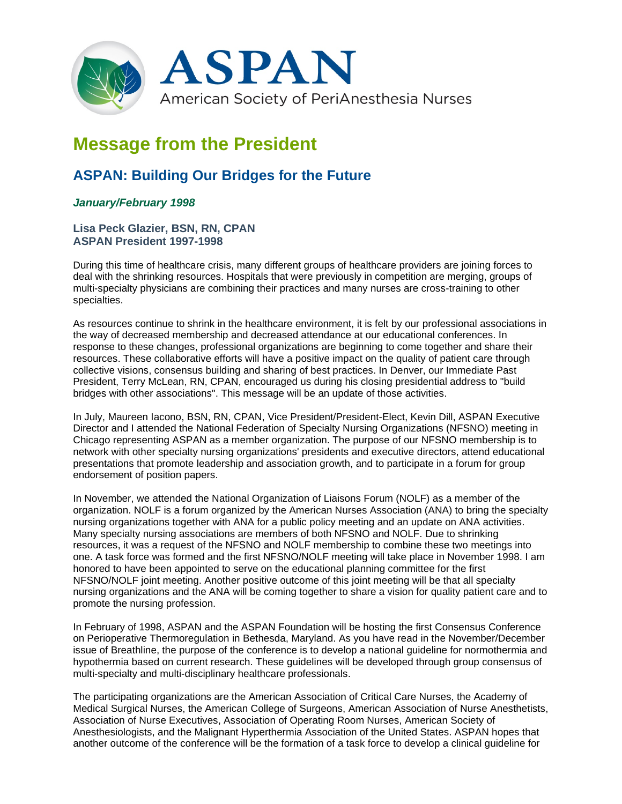

## **Message from the President**

## **ASPAN: Building Our Bridges for the Future**

## *January/February 1998*

## **Lisa Peck Glazier, BSN, RN, CPAN ASPAN President 1997-1998**

During this time of healthcare crisis, many different groups of healthcare providers are joining forces to deal with the shrinking resources. Hospitals that were previously in competition are merging, groups of multi-specialty physicians are combining their practices and many nurses are cross-training to other specialties.

As resources continue to shrink in the healthcare environment, it is felt by our professional associations in the way of decreased membership and decreased attendance at our educational conferences. In response to these changes, professional organizations are beginning to come together and share their resources. These collaborative efforts will have a positive impact on the quality of patient care through collective visions, consensus building and sharing of best practices. In Denver, our Immediate Past President, Terry McLean, RN, CPAN, encouraged us during his closing presidential address to "build bridges with other associations". This message will be an update of those activities.

In July, Maureen Iacono, BSN, RN, CPAN, Vice President/President-Elect, Kevin Dill, ASPAN Executive Director and I attended the National Federation of Specialty Nursing Organizations (NFSNO) meeting in Chicago representing ASPAN as a member organization. The purpose of our NFSNO membership is to network with other specialty nursing organizations' presidents and executive directors, attend educational presentations that promote leadership and association growth, and to participate in a forum for group endorsement of position papers.

In November, we attended the National Organization of Liaisons Forum (NOLF) as a member of the organization. NOLF is a forum organized by the American Nurses Association (ANA) to bring the specialty nursing organizations together with ANA for a public policy meeting and an update on ANA activities. Many specialty nursing associations are members of both NFSNO and NOLF. Due to shrinking resources, it was a request of the NFSNO and NOLF membership to combine these two meetings into one. A task force was formed and the first NFSNO/NOLF meeting will take place in November 1998. I am honored to have been appointed to serve on the educational planning committee for the first NFSNO/NOLF joint meeting. Another positive outcome of this joint meeting will be that all specialty nursing organizations and the ANA will be coming together to share a vision for quality patient care and to promote the nursing profession.

In February of 1998, ASPAN and the ASPAN Foundation will be hosting the first Consensus Conference on Perioperative Thermoregulation in Bethesda, Maryland. As you have read in the November/December issue of Breathline, the purpose of the conference is to develop a national guideline for normothermia and hypothermia based on current research. These guidelines will be developed through group consensus of multi-specialty and multi-disciplinary healthcare professionals.

The participating organizations are the American Association of Critical Care Nurses, the Academy of Medical Surgical Nurses, the American College of Surgeons, American Association of Nurse Anesthetists, Association of Nurse Executives, Association of Operating Room Nurses, American Society of Anesthesiologists, and the Malignant Hyperthermia Association of the United States. ASPAN hopes that another outcome of the conference will be the formation of a task force to develop a clinical guideline for